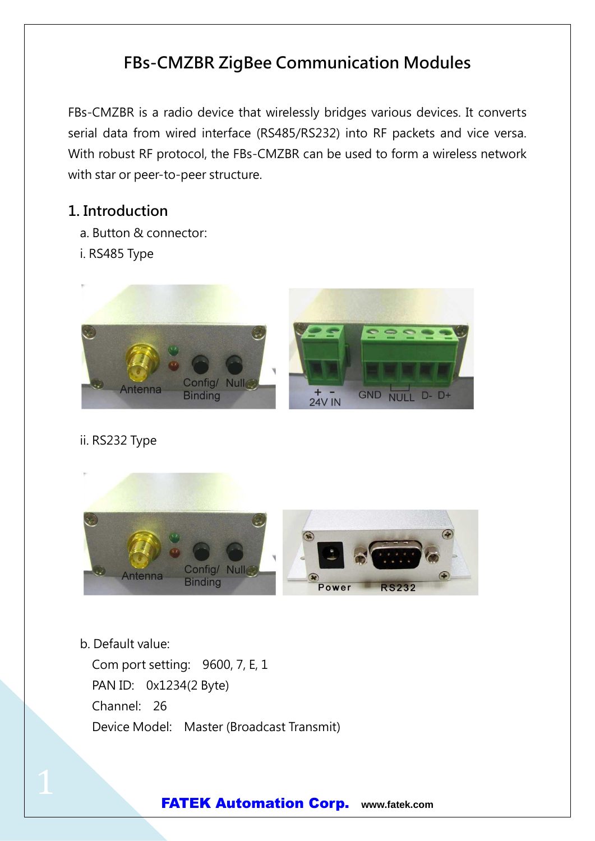# FBs-CMZBR ZigBee Communication Modules

FBs-CMZBR is a radio device that wirelessly bridges various devices. It converts serial data from wired interface (RS485/RS232) into RF packets and vice versa. With robust RF protocol, the FBs-CMZBR can be used to form a wireless network with star or peer-to-peer structure.

## 1. Introduction

- a. Button & connector:
- i. RS485 Type



### ii. RS232 Type



b. Default value:

Com port setting: 9600, 7, E, 1 PAN ID: 0x1234(2 Byte) Channel: 26 Device Model: Master (Broadcast Transmit)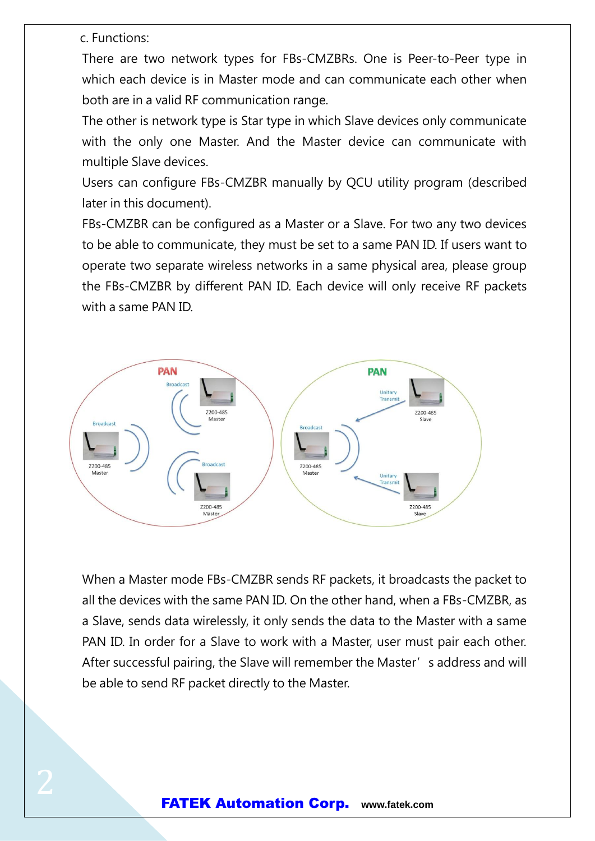c. Functions:

There are two network types for FBs-CMZBRs. One is Peer-to-Peer type in which each device is in Master mode and can communicate each other when both are in a valid RF communication range.

The other is network type is Star type in which Slave devices only communicate with the only one Master. And the Master device can communicate with multiple Slave devices.

Users can configure FBs-CMZBR manually by QCU utility program (described later in this document).

FBs-CMZBR can be configured as a Master or a Slave. For two any two devices to be able to communicate, they must be set to a same PAN ID. If users want to operate two separate wireless networks in a same physical area, please group the FBs-CMZBR by different PAN ID. Each device will only receive RF packets with a same PAN ID.



When a Master mode FBs-CMZBR sends RF packets, it broadcasts the packet to all the devices with the same PAN ID. On the other hand, when a FBs-CMZBR, as a Slave, sends data wirelessly, it only sends the data to the Master with a same PAN ID. In order for a Slave to work with a Master, user must pair each other. After successful pairing, the Slave will remember the Master's address and will be able to send RF packet directly to the Master.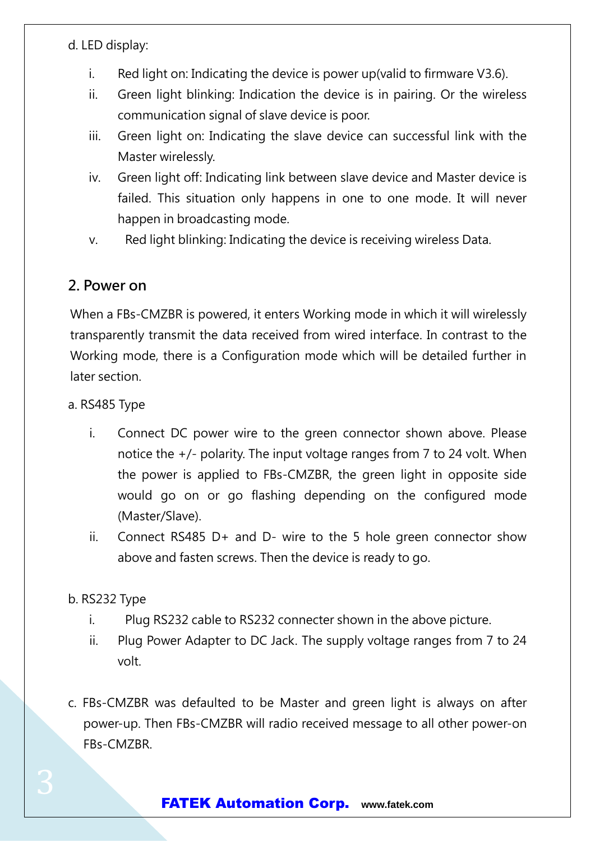d. LED display:

- i. Red light on: Indicating the device is power up(valid to firmware V3.6).
- ii. Green light blinking: Indication the device is in pairing. Or the wireless communication signal of slave device is poor.
- iii. Green light on: Indicating the slave device can successful link with the Master wirelessly.
- iv. Green light off: Indicating link between slave device and Master device is failed. This situation only happens in one to one mode. It will never happen in broadcasting mode.
- v. Red light blinking: Indicating the device is receiving wireless Data.

## 2. Power on

When a FBs-CMZBR is powered, it enters Working mode in which it will wirelessly transparently transmit the data received from wired interface. In contrast to the Working mode, there is a Configuration mode which will be detailed further in later section.

#### a. RS485 Type

- i. Connect DC power wire to the green connector shown above. Please notice the  $+/-$  polarity. The input voltage ranges from 7 to 24 volt. When the power is applied to FBs-CMZBR, the green light in opposite side would go on or go flashing depending on the configured mode (Master/Slave).
- ii. Connect RS485 D+ and D- wire to the 5 hole green connector show above and fasten screws. Then the device is ready to go.

### b. RS232 Type

- i. Plug RS232 cable to RS232 connecter shown in the above picture.
- ii. Plug Power Adapter to DC Jack. The supply voltage ranges from 7 to 24 volt.
- c. FBs-CMZBR was defaulted to be Master and green light is always on after power-up. Then FBs-CMZBR will radio received message to all other power-on FBs-CMZBR.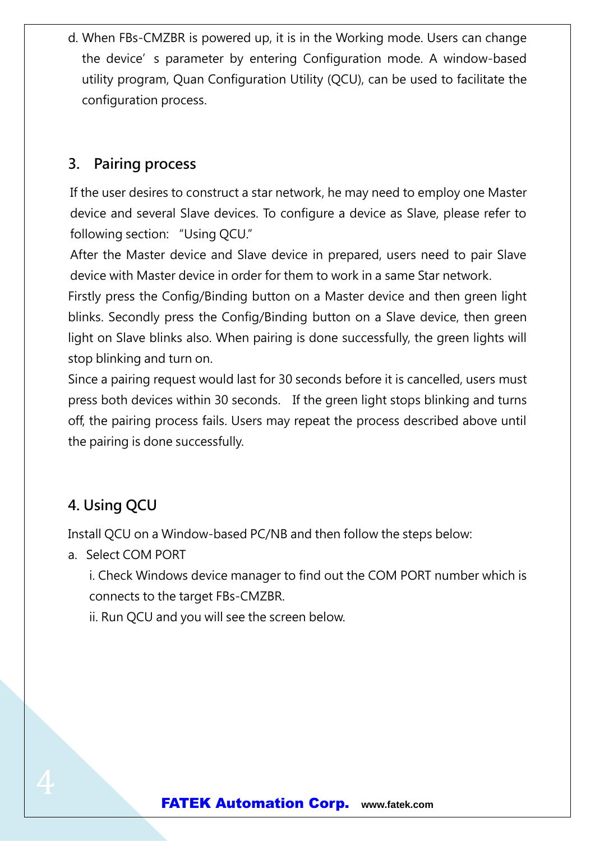d. When FBs-CMZBR is powered up, it is in the Working mode. Users can change the device's parameter by entering Configuration mode. A window-based utility program, Quan Configuration Utility (QCU), can be used to facilitate the configuration process.

## 3. Pairing process

If the user desires to construct a star network, he may need to employ one Master device and several Slave devices. To configure a device as Slave, please refer to following section: "Using QCU."

After the Master device and Slave device in prepared, users need to pair Slave device with Master device in order for them to work in a same Star network.

Firstly press the Config/Binding button on a Master device and then green light blinks. Secondly press the Config/Binding button on a Slave device, then green light on Slave blinks also. When pairing is done successfully, the green lights will stop blinking and turn on.

Since a pairing request would last for 30 seconds before it is cancelled, users must press both devices within 30 seconds. If the green light stops blinking and turns off, the pairing process fails. Users may repeat the process described above until the pairing is done successfully.

# 4. Using QCU

Install QCU on a Window-based PC/NB and then follow the steps below:

a. Select COM PORT

i. Check Windows device manager to find out the COM PORT number which is connects to the target FBs-CMZBR.

ii. Run QCU and you will see the screen below.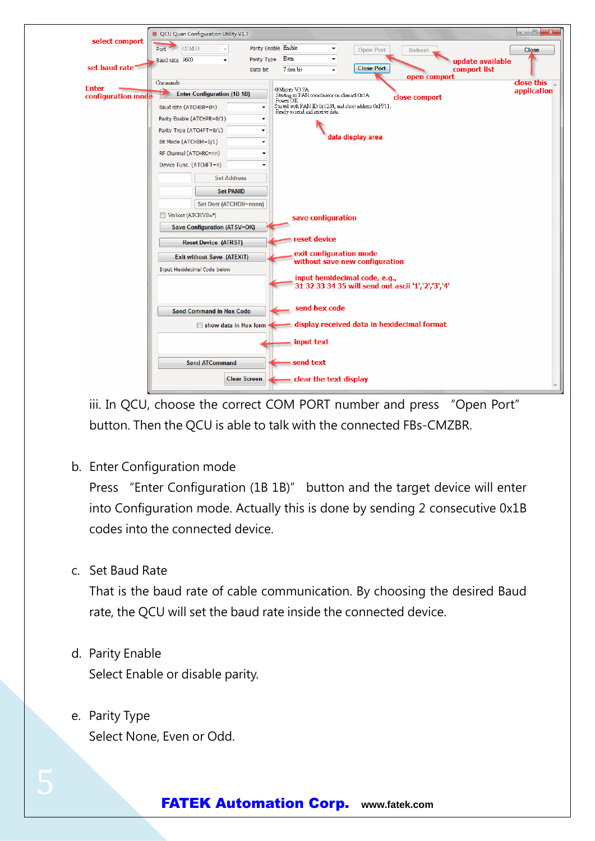

iii. In QCU, choose the correct COM PORT number and press "Open Port" button. Then the QCU is able to talk with the connected FBs-CMZBR.

b. Enter Configuration mode

Press "Enter Configuration (1B 1B)" button and the target device will enter into Configuration mode. Actually this is done by sending 2 consecutive 0x1B codes into the connected device.

c. Set Baud Rate

That is the baud rate of cable communication. By choosing the desired Baud rate, the QCU will set the baud rate inside the connected device.

- d. Parity Enable Select Enable or disable parity.
- e. Parity Type Select None, Even or Odd.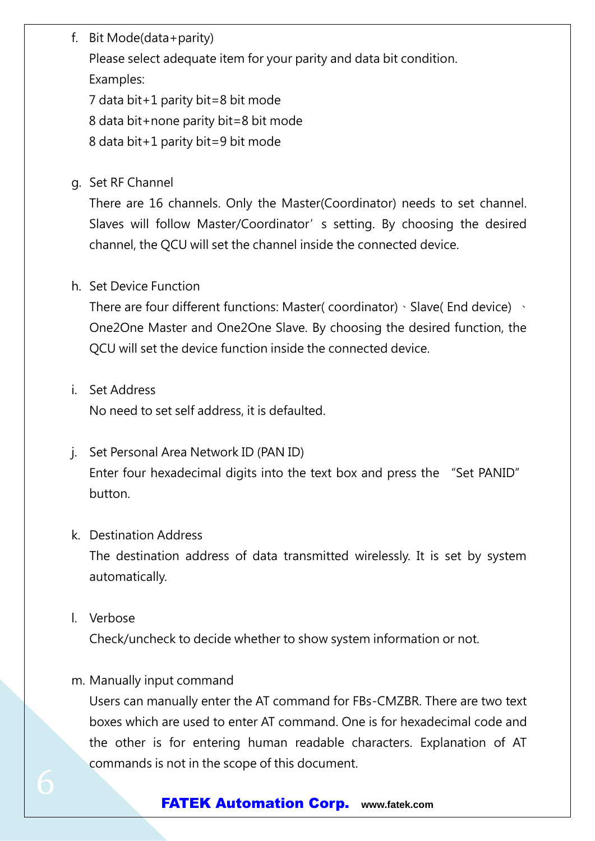f. Bit Mode(data+parity)

Please select adequate item for your parity and data bit condition.

Examples:

7 data bit+1 parity bit=8 bit mode

8 data bit+none parity bit=8 bit mode

8 data bit+1 parity bit=9 bit mode

g. Set RF Channel

There are 16 channels. Only the Master(Coordinator) needs to set channel. Slaves will follow Master/Coordinator' s setting. By choosing the desired channel, the QCU will set the channel inside the connected device.

### h. Set Device Function

There are four different functions: Master( coordinator)、Slave( End device) 、 One2One Master and One2One Slave. By choosing the desired function, the QCU will set the device function inside the connected device.

i. Set Address

No need to set self address, it is defaulted.

j. Set Personal Area Network ID (PAN ID) Enter four hexadecimal digits into the text box and press the "Set PANID" button.

### k. Destination Address

The destination address of data transmitted wirelessly. It is set by system automatically.

l. Verbose

Check/uncheck to decide whether to show system information or not.

### m. Manually input command

Users can manually enter the AT command for FBs-CMZBR. There are two text boxes which are used to enter AT command. One is for hexadecimal code and the other is for entering human readable characters. Explanation of AT commands is not in the scope of this document.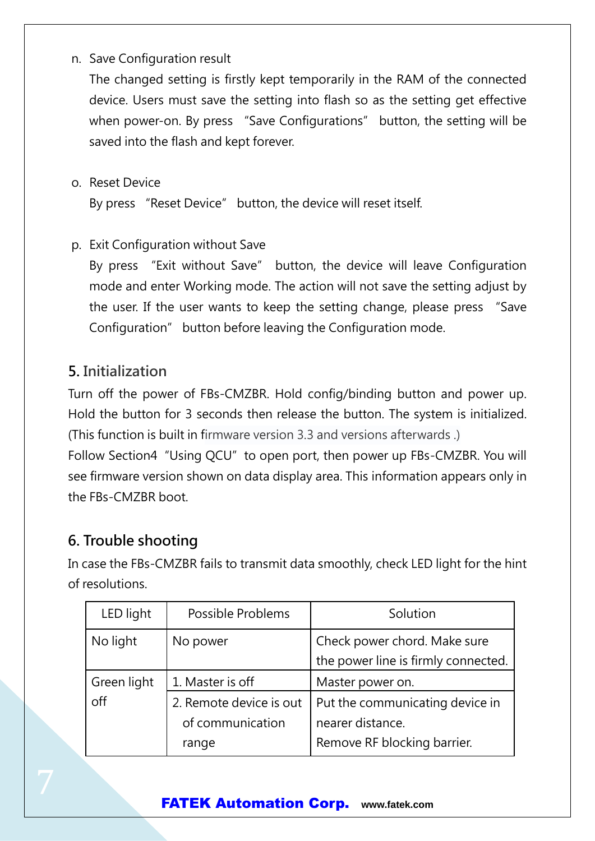n. Save Configuration result

The changed setting is firstly kept temporarily in the RAM of the connected device. Users must save the setting into flash so as the setting get effective when power-on. By press "Save Configurations" button, the setting will be saved into the flash and kept forever.

o. Reset Device

By press "Reset Device" button, the device will reset itself.

p. Exit Configuration without Save

By press "Exit without Save" button, the device will leave Configuration mode and enter Working mode. The action will not save the setting adjust by the user. If the user wants to keep the setting change, please press "Save Configuration" button before leaving the Configuration mode.

## 5. Initialization

Turn off the power of FBs-CMZBR. Hold config/binding button and power up. Hold the button for 3 seconds then release the button. The system is initialized. (This function is built in firmware version 3.3 and versions afterwards .) Follow Section4 "Using QCU" to open port, then power up FBs-CMZBR. You will see firmware version shown on data display area. This information appears only in

the FBs-CMZBR boot.

## 6. Trouble shooting

In case the FBs-CMZBR fails to transmit data smoothly, check LED light for the hint of resolutions.

| LED light   | Possible Problems       | Solution                            |
|-------------|-------------------------|-------------------------------------|
| No light    | No power                | Check power chord. Make sure        |
|             |                         | the power line is firmly connected. |
| Green light | 1. Master is off        | Master power on.                    |
| off         | 2. Remote device is out | Put the communicating device in     |
|             | of communication        | nearer distance.                    |
|             | range                   | Remove RF blocking barrier.         |